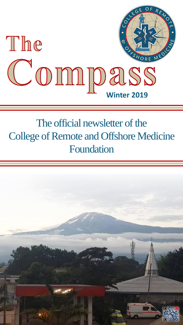

## The official newsletter of the College of Remote and Offshore Medicine Foundation

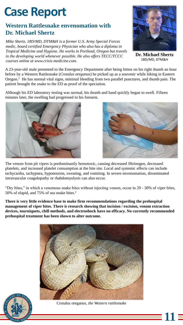## **Case Report**

## **Western Rattlesnake envenomation with Dr. Michael Shertz**

*Mike Shertz, 18D/MD, DTM&H is a former U.S. Army Special Forces medic, board certified Emergency Physician who also has a diploma in Tropical Medicine and Hygiene. He works in Portland, Oregon but travels in the developing world whenever possible. He also offers TECC/TCCC courses online at www.crisis-medicine.com.*



**Dr. Michael Shertz** 18D/MD, DTM&H

**11**

A 23-year-old male presented to the Emergency Department after being bitten on his right thumb an hour before by a Western Rattlesnake (*Crotalus oreganus*) he picked up as a souvenir while hiking in Eastern Oregon.<sup>1</sup> He has normal vital signs, minimal bleeding from two parallel punctures, and thumb pain. The patient brought the snake to the ED as proof of the speciation.

Although his ED laboratory testing was normal, his thumb and hand quickly began to swell. Fifteen minutes later, the swelling had progressed to his forearm.





The venom from pit vipers is predominantly hemotoxic, causing decreased fibrinogen, decreased platelets, and increased platelet consumption at the bite site. Local and systemic effects can include tachycardia, tachypnea, hypotension, sweating, and vomiting. In severe envenomation, disseminated intravascular coagulopathy or rhabdomyolysis can also occur.

"Dry bites," in which a venomous snake bites without injecting venom, occur in 20 - 30% of viper bites, 50% of elapid, and 75% of sea snake bites.<sup>2</sup>

**There is very little evidence base to make firm recommendations regarding the prehospital management of viper bites. There is research showing that incision / excision, venom extraction devices, tourniquets, chill methods, and electroshock have no efficacy. No currently recommended prehospital treatment has been shown to alter outcome.** 





Crotalus oreganus*, the Western rattlesnake*